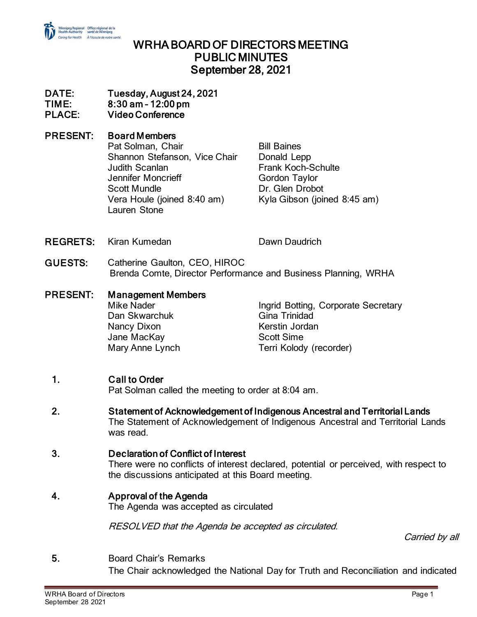

# WRHA BOARD OF DIRECTORS MEETING PUBLIC MINUTES September 28, 2021

#### DATE: Tuesday, August 24, 2021 TIME: 8:30 am – 12:00 pm PLACE: Video Conference

#### PRESENT: Board Members

Pat Solman, Chair<br>Shannon Stefanson. Vice Chair Donald Lepp Shannon Stefanson, Vice Chair Judith Scanlan **Frank Koch-Schulte** Jennifer Moncrieff Gordon Taylor Scott Mundle **Dr. Glen Drobot** Vera Houle (joined 8:40 am) Kyla Gibson (joined 8:45 am) Lauren Stone

REGRETS: Kiran Kumedan **Dawn Dawn Daudrich** 

- GUESTS: Catherine Gaulton, CEO, HIROC Brenda Comte, Director Performance and Business Planning, WRHA
- **PRESENT:** Management Members<br>Mike Nader Ingrid Botting, Corporate Secretary Dan Skwarchuk Gina Trinidad<br>Nancy Dixon Gina Trinidad Nancy Dixon Jane MacKay **Scott Sime** Mary Anne Lynch Terri Kolody (recorder)

1. Call to Order

Pat Solman called the meeting to order at 8:04 am.

2. Statement of Acknowledgement of Indigenous Ancestral and Territorial Lands The Statement of Acknowledgement of Indigenous Ancestral and Territorial Lands was read.

#### 3. Declaration of Conflict of Interest

There were no conflicts of interest declared, potential or perceived, with respect to the discussions anticipated at this Board meeting.

# 4. Approval of the Agenda

The Agenda was accepted as circulated

RESOLVED that the Agenda be accepted as circulated.

Carried by all

5. Board Chair's Remarks

The Chair acknowledged the National Day for Truth and Reconciliation and indicated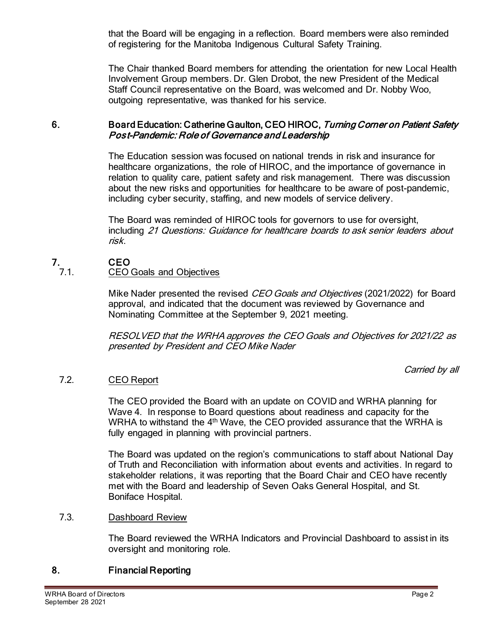that the Board will be engaging in a reflection. Board members were also reminded of registering for the Manitoba Indigenous Cultural Safety Training.

The Chair thanked Board members for attending the orientation for new Local Health Involvement Group members. Dr. Glen Drobot, the new President of the Medical Staff Council representative on the Board, was welcomed and Dr. Nobby Woo, outgoing representative, was thanked for his service.

#### 6. Board Education: Catherine Gaulton, CEO HIROC, Turning Corner on Patient Safety Post-Pandemic: Role of Governance and Leadership

The Education session was focused on national trends in risk and insurance for healthcare organizations, the role of HIROC, and the importance of governance in relation to quality care, patient safety and risk management. There was discussion about the new risks and opportunities for healthcare to be aware of post-pandemic, including cyber security, staffing, and new models of service delivery.

The Board was reminded of HIROC tools for governors to use for oversight, including 21 Questions: Guidance for healthcare boards to ask senior leaders about risk.

# 7.  $\frac{CEO}{CO}$

#### CEO Goals and Objectives

Mike Nader presented the revised *CEO Goals and Objectives* (2021/2022) for Board approval, and indicated that the document was reviewed by Governance and Nominating Committee at the September 9, 2021 meeting.

RESOLVED that the WRHA approves the CEO Goals and Objectives for 2021/22 as presented by President and CEO Mike Nader

Carried by all

#### 7.2. CEO Report

The CEO provided the Board with an update on COVID and WRHA planning for Wave 4. In response to Board questions about readiness and capacity for the WRHA to withstand the 4<sup>th</sup> Wave, the CEO provided assurance that the WRHA is fully engaged in planning with provincial partners.

The Board was updated on the region's communications to staff about National Day of Truth and Reconciliation with information about events and activities. In regard to stakeholder relations, it was reporting that the Board Chair and CEO have recently met with the Board and leadership of Seven Oaks General Hospital, and St. Boniface Hospital.

#### 7.3. Dashboard Review

The Board reviewed the WRHA Indicators and Provincial Dashboard to assist in its oversight and monitoring role.

# 8. Financial Reporting